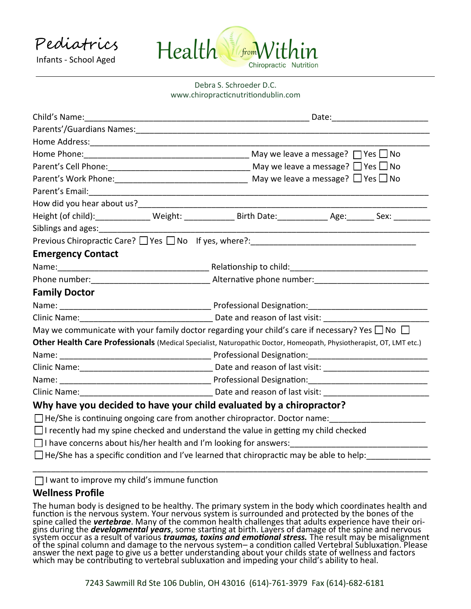Pediatrics Infants - School Aged



## Debra S. Schroeder D.C. www.chiropracticnutritiondublin.com

|                                                                                                                                                                                                                                | Date: the contract of the contract of the contract of the contract of the contract of the contract of the contract of the contract of the contract of the contract of the contract of the contract of the contract of the cont |
|--------------------------------------------------------------------------------------------------------------------------------------------------------------------------------------------------------------------------------|--------------------------------------------------------------------------------------------------------------------------------------------------------------------------------------------------------------------------------|
| Parents'/Guardians Names: Names: Names and Security of the Contract of the Contract of the Contract of the Contract of the Contract of the Contract of the Contract of the Contract of the Contract of the Contract of the Con |                                                                                                                                                                                                                                |
|                                                                                                                                                                                                                                |                                                                                                                                                                                                                                |
|                                                                                                                                                                                                                                |                                                                                                                                                                                                                                |
|                                                                                                                                                                                                                                |                                                                                                                                                                                                                                |
|                                                                                                                                                                                                                                |                                                                                                                                                                                                                                |
| Parent's Email: 2008. 2009. 2009. 2010. 2010. 2010. 2010. 2010. 2010. 2010. 2010. 2010. 2010. 2010. 2010. 2010                                                                                                                 |                                                                                                                                                                                                                                |
|                                                                                                                                                                                                                                |                                                                                                                                                                                                                                |
|                                                                                                                                                                                                                                | Height (of child): ________________ Weight: _______________ Birth Date: ______________ Age: ________ Sex: _________                                                                                                            |
| Siblings and ages:                                                                                                                                                                                                             |                                                                                                                                                                                                                                |
|                                                                                                                                                                                                                                |                                                                                                                                                                                                                                |
| <b>Emergency Contact</b>                                                                                                                                                                                                       |                                                                                                                                                                                                                                |
|                                                                                                                                                                                                                                |                                                                                                                                                                                                                                |
|                                                                                                                                                                                                                                |                                                                                                                                                                                                                                |
| <b>Family Doctor</b>                                                                                                                                                                                                           |                                                                                                                                                                                                                                |
|                                                                                                                                                                                                                                |                                                                                                                                                                                                                                |
|                                                                                                                                                                                                                                |                                                                                                                                                                                                                                |
|                                                                                                                                                                                                                                | May we communicate with your family doctor regarding your child's care if necessary? Yes $\Box$ No $\Box$                                                                                                                      |
|                                                                                                                                                                                                                                | Other Health Care Professionals (Medical Specialist, Naturopathic Doctor, Homeopath, Physiotherapist, OT, LMT etc.)                                                                                                            |
|                                                                                                                                                                                                                                |                                                                                                                                                                                                                                |
|                                                                                                                                                                                                                                |                                                                                                                                                                                                                                |
|                                                                                                                                                                                                                                |                                                                                                                                                                                                                                |
|                                                                                                                                                                                                                                | Clinic Name: Clinic Name: Clinic Name: Clinic Name: Clinic Name: Clinic Name: Clinic Name: Clinic Name: Clinic N                                                                                                               |
|                                                                                                                                                                                                                                | Why have you decided to have your child evaluated by a chiropractor?                                                                                                                                                           |
|                                                                                                                                                                                                                                | $\Box$ He/She is continuing ongoing care from another chiropractor. Doctor name:                                                                                                                                               |
|                                                                                                                                                                                                                                | $\Box$ I recently had my spine checked and understand the value in getting my child checked                                                                                                                                    |
|                                                                                                                                                                                                                                | $\Box$ I have concerns about his/her health and I'm looking for answers:                                                                                                                                                       |
|                                                                                                                                                                                                                                | $\Box$ He/She has a specific condition and I've learned that chiropractic may be able to help:                                                                                                                                 |
|                                                                                                                                                                                                                                |                                                                                                                                                                                                                                |

 $\Box$  I want to improve my child's immune function

# **Wellness Profile**

The human body is designed to be healthy. The primary system in the body which coordinates health and function is the nervous system. Your nervous system is surrounded and protected by the bones of the spine called the *vertebrae*. Many of the common health challenges that adults experience have their origins during the *developmental years*, some starting at birth. Layers of damage of the spine and nervous system occur as a result of various *traumas, toxins and emotional stress.* The result may be misalignment of the spinal column and damage to the nervous system– a condition called Vertebral Subluxation. Please answer the next page to give us a better understanding about your childs state of wellness and factors which may be contributing to vertebral subluxation and impeding your child's ability to heal.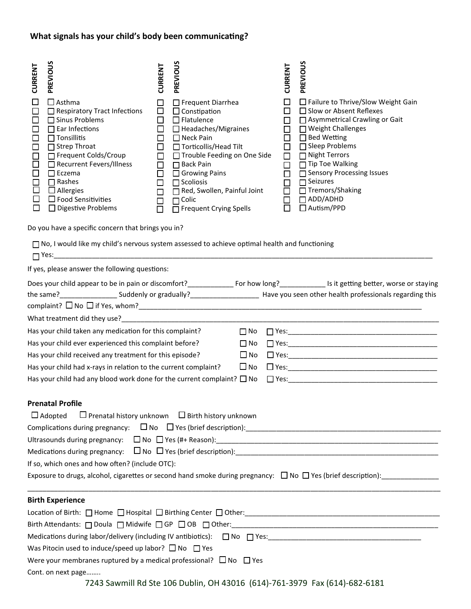# **What signals has your child's body been communicating?**

| <b>CURRENT</b><br>$\mathbf{I}$<br>П<br>$\mathsf{L}$<br>H<br>П<br>П<br>$\Box$<br>$\Box$                                                                                                                                                                                                  | PREVIOUS<br>$\Box$ Asthma<br>$\Box$ Respiratory Tract Infections<br>$\Box$ Sinus Problems<br>$\Box$ Ear Infections<br>$\Box$ Tonsillitis<br>$\Box$ Strep Throat<br>Frequent Colds/Croup<br>Recurrent Fevers/Illness<br>$\Box$ Eczema<br>$\Box$ Rashes<br>$\Box$ Allergies<br>$\Box$ Food Sensitivities<br>$\Box$ Digestive Problems | <b>CURRENT</b><br>$\Box$<br>$\Box$<br>□<br>□<br>$\Box$<br>$\Box$<br>$\Box$<br>$\Box$<br>□<br>$\Box$<br>$\Box$<br>$\Box$<br>П | PREVIOUS<br>$\Box$ Frequent Diarrhea<br>$\Box$ Constipation<br>$\Box$ Flatulence<br>Headaches/Migraines<br>□ Neck Pain<br>□ Torticollis/Head Tilt<br>□ Trouble Feeding on One Side<br>□ Back Pain<br>Growing Pains<br>$\Box$ Scoliosis<br>Red, Swollen, Painful Joint<br>$\Box$ Colic<br>$\overline{\Box}$ Frequent Crying Spells |  | <b>CURRENT</b><br>$\Box$<br>$\Box$<br>□<br>$\Box$<br>$\Box$<br>$\Box$<br>$\Box$<br>$\Box$<br>$\Box$<br>$\Box$<br>$\Box$<br>$\Box$<br>$\Box$ | PREVIOUS<br>$\Box$ Failure to Thrive/Slow Weight Gain<br>□ Slow or Absent Reflexes<br>□ Asymmetrical Crawling or Gait<br>$\Box$ Weight Challenges<br>$\Box$ Bed Wetting<br>□ Sleep Problems<br>□ Night Terrors<br>□ Tip Toe Walking<br>Sensory Processing Issues<br>$\Box$ Seizures<br>□ Tremors/Shaking<br>$\Box$ ADD/ADHD<br>□ Autism/PPD |
|-----------------------------------------------------------------------------------------------------------------------------------------------------------------------------------------------------------------------------------------------------------------------------------------|-------------------------------------------------------------------------------------------------------------------------------------------------------------------------------------------------------------------------------------------------------------------------------------------------------------------------------------|------------------------------------------------------------------------------------------------------------------------------|-----------------------------------------------------------------------------------------------------------------------------------------------------------------------------------------------------------------------------------------------------------------------------------------------------------------------------------|--|---------------------------------------------------------------------------------------------------------------------------------------------|---------------------------------------------------------------------------------------------------------------------------------------------------------------------------------------------------------------------------------------------------------------------------------------------------------------------------------------------|
|                                                                                                                                                                                                                                                                                         | Do you have a specific concern that brings you in?                                                                                                                                                                                                                                                                                  |                                                                                                                              |                                                                                                                                                                                                                                                                                                                                   |  |                                                                                                                                             |                                                                                                                                                                                                                                                                                                                                             |
|                                                                                                                                                                                                                                                                                         | □ No, I would like my child's nervous system assessed to achieve optimal health and functioning                                                                                                                                                                                                                                     |                                                                                                                              |                                                                                                                                                                                                                                                                                                                                   |  |                                                                                                                                             |                                                                                                                                                                                                                                                                                                                                             |
|                                                                                                                                                                                                                                                                                         | If yes, please answer the following questions:                                                                                                                                                                                                                                                                                      |                                                                                                                              |                                                                                                                                                                                                                                                                                                                                   |  |                                                                                                                                             |                                                                                                                                                                                                                                                                                                                                             |
| the same?________________________Suddenly or gradually?__________________________Have you seen other health professionals regarding this                                                                                                                                                |                                                                                                                                                                                                                                                                                                                                     |                                                                                                                              |                                                                                                                                                                                                                                                                                                                                   |  |                                                                                                                                             |                                                                                                                                                                                                                                                                                                                                             |
|                                                                                                                                                                                                                                                                                         |                                                                                                                                                                                                                                                                                                                                     |                                                                                                                              |                                                                                                                                                                                                                                                                                                                                   |  |                                                                                                                                             |                                                                                                                                                                                                                                                                                                                                             |
|                                                                                                                                                                                                                                                                                         | Has your child taken any medication for this complaint?                                                                                                                                                                                                                                                                             |                                                                                                                              | $\square$ No                                                                                                                                                                                                                                                                                                                      |  |                                                                                                                                             |                                                                                                                                                                                                                                                                                                                                             |
|                                                                                                                                                                                                                                                                                         | Has your child ever experienced this complaint before?                                                                                                                                                                                                                                                                              |                                                                                                                              |                                                                                                                                                                                                                                                                                                                                   |  |                                                                                                                                             |                                                                                                                                                                                                                                                                                                                                             |
| Has your child received any treatment for this episode?                                                                                                                                                                                                                                 |                                                                                                                                                                                                                                                                                                                                     |                                                                                                                              |                                                                                                                                                                                                                                                                                                                                   |  |                                                                                                                                             |                                                                                                                                                                                                                                                                                                                                             |
|                                                                                                                                                                                                                                                                                         | Has your child had x-rays in relation to the current complaint?                                                                                                                                                                                                                                                                     |                                                                                                                              |                                                                                                                                                                                                                                                                                                                                   |  |                                                                                                                                             |                                                                                                                                                                                                                                                                                                                                             |
|                                                                                                                                                                                                                                                                                         | Has your child had any blood work done for the current complaint? $\Box$ No                                                                                                                                                                                                                                                         |                                                                                                                              |                                                                                                                                                                                                                                                                                                                                   |  |                                                                                                                                             |                                                                                                                                                                                                                                                                                                                                             |
| <b>Prenatal Profile</b><br>$\Box$ Prenatal history unknown $\Box$ Birth history unknown<br>$\Box$ Adopted<br>If so, which ones and how often? (include OTC):<br>Exposure to drugs, alcohol, cigarettes or second hand smoke during pregnancy: $\Box$ No $\Box$ Yes (brief description): |                                                                                                                                                                                                                                                                                                                                     |                                                                                                                              |                                                                                                                                                                                                                                                                                                                                   |  |                                                                                                                                             |                                                                                                                                                                                                                                                                                                                                             |
|                                                                                                                                                                                                                                                                                         | <b>Birth Experience</b>                                                                                                                                                                                                                                                                                                             |                                                                                                                              |                                                                                                                                                                                                                                                                                                                                   |  |                                                                                                                                             |                                                                                                                                                                                                                                                                                                                                             |
|                                                                                                                                                                                                                                                                                         | Location of Birth: 0 Home 0 Hospital 0 Birthing Center 0 Other: 0 11 Mars 2014 10:00 10:00 10:00 10:00 10:00 1                                                                                                                                                                                                                      |                                                                                                                              |                                                                                                                                                                                                                                                                                                                                   |  |                                                                                                                                             |                                                                                                                                                                                                                                                                                                                                             |
|                                                                                                                                                                                                                                                                                         |                                                                                                                                                                                                                                                                                                                                     |                                                                                                                              |                                                                                                                                                                                                                                                                                                                                   |  |                                                                                                                                             |                                                                                                                                                                                                                                                                                                                                             |
|                                                                                                                                                                                                                                                                                         |                                                                                                                                                                                                                                                                                                                                     |                                                                                                                              |                                                                                                                                                                                                                                                                                                                                   |  |                                                                                                                                             |                                                                                                                                                                                                                                                                                                                                             |
| Was Pitocin used to induce/speed up labor? $\Box$ No $\Box$ Yes                                                                                                                                                                                                                         |                                                                                                                                                                                                                                                                                                                                     |                                                                                                                              |                                                                                                                                                                                                                                                                                                                                   |  |                                                                                                                                             |                                                                                                                                                                                                                                                                                                                                             |
|                                                                                                                                                                                                                                                                                         | Were your membranes ruptured by a medical professional? $\Box$ No $\Box$ Yes                                                                                                                                                                                                                                                        |                                                                                                                              |                                                                                                                                                                                                                                                                                                                                   |  |                                                                                                                                             |                                                                                                                                                                                                                                                                                                                                             |
| Cont. on next page<br>TO 12 Council Dd Cto 106 Dublin, OLL 42016, IC14) 761, 2070, Fou (614) 602, 6101                                                                                                                                                                                  |                                                                                                                                                                                                                                                                                                                                     |                                                                                                                              |                                                                                                                                                                                                                                                                                                                                   |  |                                                                                                                                             |                                                                                                                                                                                                                                                                                                                                             |

7243 Sawmill Rd Ste 106 Dublin, OH 43016 (614)-761-3979 Fax (614)-682-6181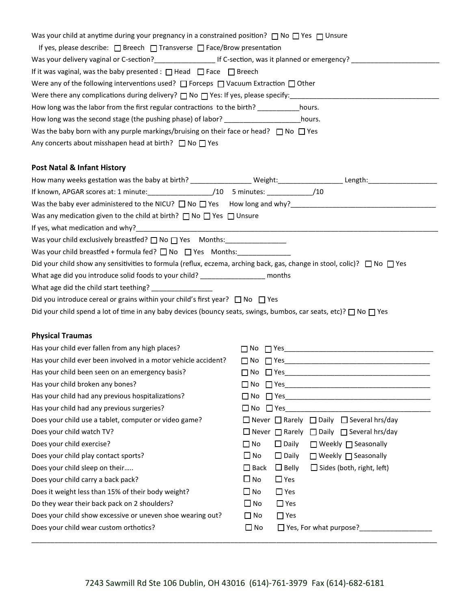| Was your child at anytime during your pregnancy in a constrained position? $\Box$ No $\Box$ Yes $\Box$ Unsure                                                            |                                                                                           |
|--------------------------------------------------------------------------------------------------------------------------------------------------------------------------|-------------------------------------------------------------------------------------------|
| If yes, please describe: $\Box$ Breech $\Box$ Transverse $\Box$ Face/Brow presentation                                                                                   |                                                                                           |
|                                                                                                                                                                          |                                                                                           |
| If it was vaginal, was the baby presented : $\Box$ Head $\Box$ Face $\Box$ Breech                                                                                        |                                                                                           |
| Were any of the following interventions used? $\Box$ Forceps $\Box$ Vacuum Extraction $\Box$ Other                                                                       |                                                                                           |
|                                                                                                                                                                          |                                                                                           |
| How long was the labor from the first regular contractions to the birth?                                                                                                 | hours.                                                                                    |
| How long was the second stage (the pushing phase) of labor? _____________________ hours.                                                                                 |                                                                                           |
| Was the baby born with any purple markings/bruising on their face or head? $\Box$ No $\Box$ Yes                                                                          |                                                                                           |
| Any concerts about misshapen head at birth? $\Box$ No $\Box$ Yes                                                                                                         |                                                                                           |
| <b>Post Natal &amp; Infant History</b>                                                                                                                                   |                                                                                           |
|                                                                                                                                                                          |                                                                                           |
| If known, APGAR scores at: 1 minute: //10 5 minutes: //10 //10 //10                                                                                                      |                                                                                           |
| Was the baby ever administered to the NICU? $\Box$ No $\Box$ Yes How long and why?<br>Was the baby ever administered to the NICU? $\Box$ No $\Box$ Yes How long and why? |                                                                                           |
| Was any medication given to the child at birth? $\Box$ No $\Box$ Yes $\Box$ Unsure                                                                                       |                                                                                           |
|                                                                                                                                                                          |                                                                                           |
| Was your child exclusively breastfed? $\Box$ No $\Box$ Yes Months: _________________                                                                                     |                                                                                           |
| Was your child breastfed + formula fed? $\Box$ No $\Box$ Yes Months: _____________                                                                                       |                                                                                           |
| Did your child show any sensitivities to formula (reflux, eczema, arching back, gas, change in stool, colic)? $\Box$ No $\Box$ Yes                                       |                                                                                           |
| What age did you introduce solid foods to your child? __________________ months                                                                                          |                                                                                           |
|                                                                                                                                                                          |                                                                                           |
| Did you introduce cereal or grains within your child's first year? $\Box$ No $\Box$ Yes                                                                                  |                                                                                           |
| Did your child spend a lot of time in any baby devices (bouncy seats, swings, bumbos, car seats, etc)? $\Box$ No $\Box$ Yes                                              |                                                                                           |
| <b>Physical Traumas</b>                                                                                                                                                  |                                                                                           |
| Has your child ever fallen from any high places?                                                                                                                         |                                                                                           |
| Has your child ever been involved in a motor vehicle accident?                                                                                                           |                                                                                           |
| Has your child been seen on an emergency basis?                                                                                                                          |                                                                                           |
| Has your child broken any bones?                                                                                                                                         |                                                                                           |
| Has your child had any previous hospitalizations?                                                                                                                        |                                                                                           |
| Has your child had any previous surgeries?                                                                                                                               |                                                                                           |
| Does your child use a tablet, computer or video game?                                                                                                                    | $\Box$ Never $\Box$ Rarely $\Box$ Daily $\Box$ Several hrs/day                            |
| Does your child watch TV?                                                                                                                                                | $\Box$ Never $\Box$ Rarely $\Box$ Daily $\Box$ Several hrs/day                            |
| Does your child exercise?                                                                                                                                                | $\Box$ No<br>$\Box$ Daily<br>$\Box$ Weekly $\Box$ Seasonally                              |
| Does your child play contact sports?                                                                                                                                     | $\Box$ No<br>$\square$ Daily<br>$\Box$ Weekly $\Box$ Seasonally                           |
| Does your child sleep on their                                                                                                                                           | $\Box$ Belly<br>$\Box$ Sides (both, right, left)<br>$\square$ Back                        |
| Does your child carry a back pack?                                                                                                                                       | $\square$ No<br>$\Box$ Yes                                                                |
| Does it weight less than 15% of their body weight?                                                                                                                       | $\square$ No<br>$\Box$ Yes                                                                |
| Do they wear their back pack on 2 shoulders?                                                                                                                             | $\square$ No<br>$\Box$ Yes                                                                |
| Does your child show excessive or uneven shoe wearing out?                                                                                                               | $\Box$ Yes<br>$\Box$ No                                                                   |
| Does your child wear custom orthotics?                                                                                                                                   | $\Box$ No<br>Yes, For what purpose?<br>Same Lines and Management Press, For what purpose? |
|                                                                                                                                                                          |                                                                                           |